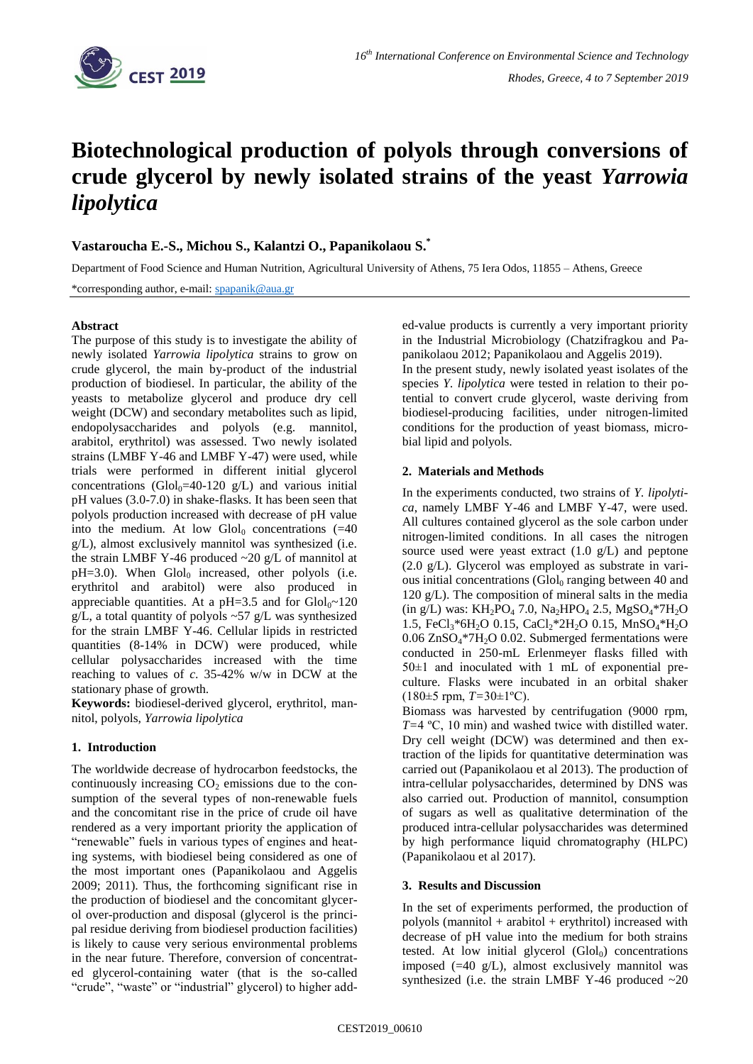

# **Biotechnological production of polyols through conversions of crude glycerol by newly isolated strains of the yeast** *Yarrowia lipolytica*

## **Vastaroucha E.-S., Michou S., Kalantzi O., Papanikolaou S.\***

Department of Food Science and Human Nutrition, Agricultural University of Athens, 75 Iera Odos, 11855 – Athens, Greece

\*corresponding author, e-mail: [spapanik@aua.gr](mailto:spapanik@aua.gr)

### **Abstract**

The purpose of this study is to investigate the ability of newly isolated *Yarrowia lipolytica* strains to grow on crude glycerol, the main by-product of the industrial production of biodiesel. In particular, the ability of the yeasts to metabolize glycerol and produce dry cell weight (DCW) and secondary metabolites such as lipid, endopolysaccharides and polyols (e.g. mannitol, arabitol, erythritol) was assessed. Two newly isolated strains (LMBF Y-46 and LMBF Y-47) were used, while trials were performed in different initial glycerol concentrations (Glol<sub>0</sub>=40-120 g/L) and various initial pH values (3.0-7.0) in shake-flasks. It has been seen that polyols production increased with decrease of pH value into the medium. At low  $Glol<sub>0</sub>$  concentrations (=40) g/L), almost exclusively mannitol was synthesized (i.e. the strain LMBF Y-46 produced  $\sim$ 20 g/L of mannitol at  $pH=3.0$ ). When  $Glol<sub>0</sub>$  increased, other polyols (i.e. erythritol and arabitol) were also produced in appreciable quantities. At a pH=3.5 and for  $Glol_0 \sim 120$ g/L, a total quantity of polyols  $\sim$  57 g/L was synthesized for the strain LMBF Y-46. Cellular lipids in restricted quantities (8-14% in DCW) were produced, while cellular polysaccharides increased with the time reaching to values of *c*. 35-42% w/w in DCW at the stationary phase of growth.

**Keywords:** biodiesel-derived glycerol, erythritol, mannitol, polyols, *Yarrowia lipolytica*

## **1. Introduction**

The worldwide decrease of hydrocarbon feedstocks, the continuously increasing  $CO<sub>2</sub>$  emissions due to the consumption of the several types of non-renewable fuels and the concomitant rise in the price of crude oil have rendered as a very important priority the application of "renewable" fuels in various types of engines and heating systems, with biodiesel being considered as one of the most important ones (Papanikolaou and Aggelis 2009; 2011). Thus, the forthcoming significant rise in the production of biodiesel and the concomitant glycerol over-production and disposal (glycerol is the principal residue deriving from biodiesel production facilities) is likely to cause very serious environmental problems in the near future. Therefore, conversion of concentrated glycerol-containing water (that is the so-called "crude", "waste" or "industrial" glycerol) to higher added-value products is currently a very important priority in the Industrial Microbiology (Chatzifragkou and Papanikolaou 2012; Papanikolaou and Aggelis 2019).

In the present study, newly isolated yeast isolates of the species *Y. lipolytica* were tested in relation to their potential to convert crude glycerol, waste deriving from biodiesel-producing facilities, under nitrogen-limited conditions for the production of yeast biomass, microbial lipid and polyols.

### **2. Materials and Methods**

In the experiments conducted, two strains of *Y. lipolytica*, namely LMBF Y-46 and LMBF Y-47, were used. All cultures contained glycerol as the sole carbon under nitrogen-limited conditions. In all cases the nitrogen source used were yeast extract (1.0 g/L) and peptone (2.0 g/L). Glycerol was employed as substrate in various initial concentrations  $\left(\frac{G}{d}\right)$  ranging between 40 and 120 g/L). The composition of mineral salts in the media (in g/L) was:  $KH_2PO_4$  7.0,  $Na_2HPO_4$  2.5,  $MgSO_4*7H_2O$ 1.5, FeCl<sub>3</sub>\*6H<sub>2</sub>O 0.15, CaCl<sub>2</sub>\*2H<sub>2</sub>O 0.15, MnSO<sub>4</sub>\*H<sub>2</sub>O  $0.06$  ZnSO<sub>4</sub>\*7H<sub>2</sub>O 0.02. Submerged fermentations were conducted in 250-mL Erlenmeyer flasks filled with  $50±1$  and inoculated with 1 mL of exponential preculture. Flasks were incubated in an orbital shaker (180±5 rpm, *T=*30±1ºC).

Biomass was harvested by centrifugation (9000 rpm, *T=*4 ºC, 10 min) and washed twice with distilled water. Dry cell weight (DCW) was determined and then extraction of the lipids for quantitative determination was carried out (Papanikolaou et al 2013). The production of intra-cellular polysaccharides, determined by DNS was also carried out. Production of mannitol, consumption of sugars as well as qualitative determination of the produced intra-cellular polysaccharides was determined by high performance liquid chromatography (HLPC) (Papanikolaou et al 2017).

## **3. Results and Discussion**

In the set of experiments performed, the production of polyols (mannitol + arabitol + erythritol) increased with decrease of pH value into the medium for both strains tested. At low initial glycerol  $(\text{Glol}_0)$  concentrations imposed (=40 g/L), almost exclusively mannitol was synthesized (i.e. the strain LMBF Y-46 produced  $\sim$ 20